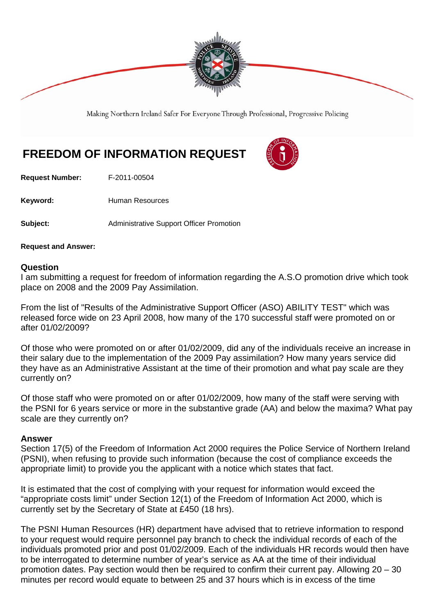

Making Northern Ireland Safer For Everyone Through Professional, Progressive Policing

## **FREEDOM OF INFORMATION REQUEST**

**Request Number:** F-2011-00504

Keyword: **Human Resources** 

**Subject:** Administrative Support Officer Promotion

**Request and Answer:** 

## **Question**

I am submitting a request for freedom of information regarding the A.S.O promotion drive which took place on 2008 and the 2009 Pay Assimilation.

From the list of "Results of the Administrative Support Officer (ASO) ABILITY TEST" which was released force wide on 23 April 2008, how many of the 170 successful staff were promoted on or after 01/02/2009?

Of those who were promoted on or after 01/02/2009, did any of the individuals receive an increase in their salary due to the implementation of the 2009 Pay assimilation? How many years service did they have as an Administrative Assistant at the time of their promotion and what pay scale are they currently on?

Of those staff who were promoted on or after 01/02/2009, how many of the staff were serving with the PSNI for 6 years service or more in the substantive grade (AA) and below the maxima? What pay scale are they currently on?

## **Answer**

Section 17(5) of the Freedom of Information Act 2000 requires the Police Service of Northern Ireland (PSNI), when refusing to provide such information (because the cost of compliance exceeds the appropriate limit) to provide you the applicant with a notice which states that fact.

It is estimated that the cost of complying with your request for information would exceed the "appropriate costs limit" under Section 12(1) of the Freedom of Information Act 2000, which is currently set by the Secretary of State at £450 (18 hrs).

The PSNI Human Resources (HR) department have advised that to retrieve information to respond to your request would require personnel pay branch to check the individual records of each of the individuals promoted prior and post 01/02/2009. Each of the individuals HR records would then have to be interrogated to determine number of year's service as AA at the time of their individual promotion dates. Pay section would then be required to confirm their current pay. Allowing 20 – 30 minutes per record would equate to between 25 and 37 hours which is in excess of the time